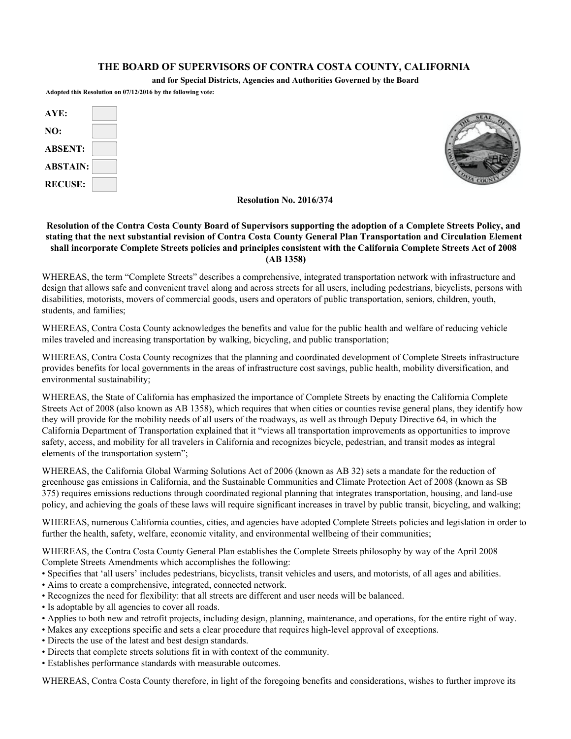## **THE BOARD OF SUPERVISORS OF CONTRA COSTA COUNTY, CALIFORNIA**

**and for Special Districts, Agencies and Authorities Governed by the Board**

**Adopted this Resolution on 07/12/2016 by the following vote:**

| AYE:            |  |
|-----------------|--|
| NO:             |  |
| <b>ABSENT:</b>  |  |
| <b>ABSTAIN:</b> |  |
| <b>RECUSE:</b>  |  |



**Resolution No. 2016/374**

## **Resolution of the Contra Costa County Board of Supervisors supporting the adoption of a Complete Streets Policy, and stating that the next substantial revision of Contra Costa County General Plan Transportation and Circulation Element shall incorporate Complete Streets policies and principles consistent with the California Complete Streets Act of 2008 (AB 1358)**

WHEREAS, the term "Complete Streets" describes a comprehensive, integrated transportation network with infrastructure and design that allows safe and convenient travel along and across streets for all users, including pedestrians, bicyclists, persons with disabilities, motorists, movers of commercial goods, users and operators of public transportation, seniors, children, youth, students, and families;

WHEREAS, Contra Costa County acknowledges the benefits and value for the public health and welfare of reducing vehicle miles traveled and increasing transportation by walking, bicycling, and public transportation;

WHEREAS, Contra Costa County recognizes that the planning and coordinated development of Complete Streets infrastructure provides benefits for local governments in the areas of infrastructure cost savings, public health, mobility diversification, and environmental sustainability;

WHEREAS, the State of California has emphasized the importance of Complete Streets by enacting the California Complete Streets Act of 2008 (also known as AB 1358), which requires that when cities or counties revise general plans, they identify how they will provide for the mobility needs of all users of the roadways, as well as through Deputy Directive 64, in which the California Department of Transportation explained that it "views all transportation improvements as opportunities to improve safety, access, and mobility for all travelers in California and recognizes bicycle, pedestrian, and transit modes as integral elements of the transportation system";

WHEREAS, the California Global Warming Solutions Act of 2006 (known as AB 32) sets a mandate for the reduction of greenhouse gas emissions in California, and the Sustainable Communities and Climate Protection Act of 2008 (known as SB 375) requires emissions reductions through coordinated regional planning that integrates transportation, housing, and land-use policy, and achieving the goals of these laws will require significant increases in travel by public transit, bicycling, and walking;

WHEREAS, numerous California counties, cities, and agencies have adopted Complete Streets policies and legislation in order to further the health, safety, welfare, economic vitality, and environmental wellbeing of their communities;

WHEREAS, the Contra Costa County General Plan establishes the Complete Streets philosophy by way of the April 2008 Complete Streets Amendments which accomplishes the following:

- Specifies that 'all users' includes pedestrians, bicyclists, transit vehicles and users, and motorists, of all ages and abilities.
- Aims to create a comprehensive, integrated, connected network.
- Recognizes the need for flexibility: that all streets are different and user needs will be balanced.
- Is adoptable by all agencies to cover all roads.
- Applies to both new and retrofit projects, including design, planning, maintenance, and operations, for the entire right of way.
- Makes any exceptions specific and sets a clear procedure that requires high-level approval of exceptions.
- Directs the use of the latest and best design standards.
- Directs that complete streets solutions fit in with context of the community.
- Establishes performance standards with measurable outcomes.

WHEREAS, Contra Costa County therefore, in light of the foregoing benefits and considerations, wishes to further improve its